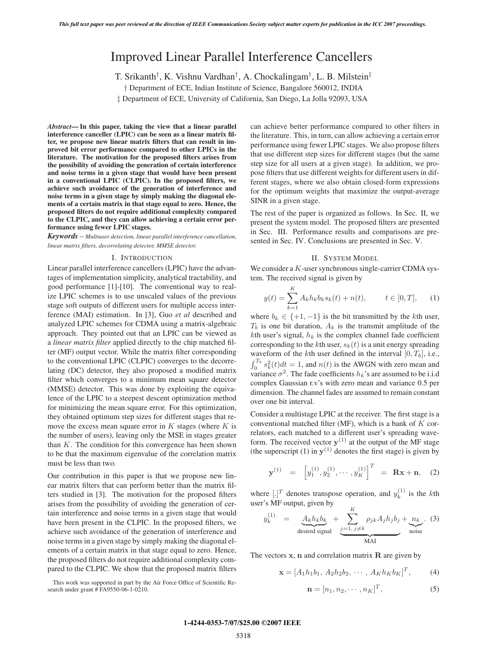# Improved Linear Parallel Interference Cancellers

T. Srikanth† , K. Vishnu Vardhan† , A. Chockalingam† , L. B. Milstein‡

† Department of ECE, Indian Institute of Science, Bangalore 560012, INDIA

‡ Department of ECE, University of California, San Diego, La Jolla 92093, USA

*Abstract***— In this paper, taking the view that a linear parallel interference canceller (LPIC) can be seen as a linear matrix filter, we propose new linear matrix filters that can result in improved bit error performance compared to other LPICs in the literature. The motivation for the proposed filters arises from the possibility of avoiding the generation of certain interference and noise terms in a given stage that would have been present in a conventional LPIC (CLPIC). In the proposed filters, we achieve such avoidance of the generation of interference and noise terms in a given stage by simply making the diagonal elements of a certain matrix in that stage equal to zero. Hence, the proposed filters do not require additional complexity compared to the CLPIC, and they can allow achieving a certain error performance using fewer LPIC stages.**

*Keywords* – *Multiuser detection, linear parallel interference cancellation, linear matrix filters, decorrelating detector, MMSE detector.*

#### I. INTRODUCTION

Linear parallel interference cancellers (LPIC) have the advantages of implementation simplicity, analytical tractability, and good performance [1]-[10]. The conventional way to realize LPIC schemes is to use unscaled values of the previous stage soft outputs of different users for multiple access interference (MAI) estimation. In [3], Guo *et al* described and analyzed LPIC schemes for CDMA using a matrix-algebraic approach. They pointed out that an LPIC can be viewed as a *linear matrix filter* applied directly to the chip matched filter (MF) output vector. While the matrix filter corresponding to the conventional LPIC (CLPIC) converges to the decorrelating (DC) detector, they also proposed a modified matrix filter which converges to a minimum mean square detector (MMSE) detector. This was done by exploiting the equivalence of the LPIC to a steepest descent optimization method for minimizing the mean square error. For this optimization, they obtained optimum step sizes for different stages that remove the excess mean square error in  $K$  stages (where  $K$  is the number of users), leaving only the MSE in stages greater than  $K$ . The condition for this convergence has been shown to be that the maximum eigenvalue of the correlation matrix must be less than two.

Our contribution in this paper is that we propose new linear matrix filters that can perform better than the matrix filters studied in [3]. The motivation for the proposed filters arises from the possibility of avoiding the generation of certain interference and noise terms in a given stage that would have been present in the CLPIC. In the proposed filters, we achieve such avoidance of the generation of interference and noise terms in a given stage by simply making the diagonal elements of a certain matrix in that stage equal to zero. Hence, the proposed filters do not require additional complexity compared to the CLPIC. We show that the proposed matrix filters can achieve better performance compared to other filters in the literature. This, in turn, can allow achieving a certain error performance using fewer LPIC stages. We also propose filters that use different step sizes for different stages (but the same step size for all users at a given stage). In addition, we propose filters that use different weights for different users in different stages, where we also obtain closed-form expressions for the optimum weights that maximize the output-average SINR in a given stage.

The rest of the paper is organized as follows. In Sec. II, we present the system model. The proposed filters are presented in Sec. III. Performance results and comparisons are presented in Sec. IV. Conclusions are presented in Sec. V.

#### II. SYSTEM MODEL

We consider a  $K$ -user synchronous single-carrier CDMA system. The received signal is given by

$$
y(t) = \sum_{k=1}^{K} A_k h_k b_k s_k(t) + n(t), \qquad t \in [0, T], \quad (1)
$$

where  $b_k \in \{+1, -1\}$  is the bit transmitted by the kth user,  $T_b$  is one bit duration,  $A_k$  is the transmit amplitude of the  $k$ th user's signal,  $h_k$  is the complex channel fade coefficient corresponding to the kth user,  $s_k(t)$  is a unit energy spreading waveform of the kth user defined in the interval  $[0, T_b]$ , i.e.,  $\int_0^{T_b} s_k^2(t)dt = 1$ , and  $n(t)$  is the AWGN with zero mean and variance  $\sigma^2$ . The fade coefficients  $h_k$ 's are assumed to be i.i.d complex Gaussian r.v's with zero mean and variance 0.5 per dimension. The channel fades are assumed to remain constant over one bit interval.

Consider a multistage LPIC at the receiver. The first stage is a conventional matched filter (MF), which is a bank of  $K$  correlators, each matched to a different user's spreading waveform. The received vector  $y^{(1)}$  at the output of the MF stage (the superscript  $(1)$  in  $y^{(1)}$  denotes the first stage) is given by

$$
\mathbf{y}^{(1)} = \left[ y_1^{(1)}, y_2^{(1)}, \cdots, y_K^{(1)} \right]^T = \mathbf{R}\mathbf{x} + \mathbf{n}, \quad (2)
$$

where  $[.]^T$  denotes transpose operation, and  $y_k^{(1)}$  is the kth user's MF output, given by

$$
y_k^{(1)} = \underbrace{A_k h_k b_k}_{\text{desired signal}} + \underbrace{\sum_{j=1, j \neq k}^{K} \rho_{jk} A_j h_j b_j}_{\text{MAI}} + \underbrace{n_k}_{\text{noise}}.
$$
 (3)

The vectors **x**, **n** and correlation matrix **R** are given by

$$
\mathbf{x} = [A_1 h_1 b_1, A_2 h_2 b_2, \cdots, A_K h_K b_K]^T, \tag{4}
$$

$$
\mathbf{n} = [n_1, n_2, \cdots, n_K]^T, \tag{5}
$$

This work was supported in part by the Air Force Office of Scientific Research under grant  $\hat{\hat{\mathsf{F}}}$  FA9550-06-1-0210.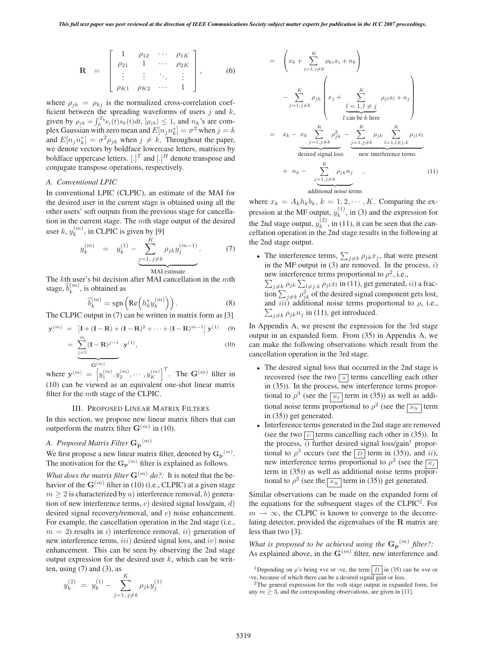$$
\mathbf{R} = \begin{bmatrix} 1 & \rho_{12} & \cdots & \rho_{1K} \\ \rho_{21} & 1 & \cdots & \rho_{2K} \\ \vdots & \vdots & \ddots & \vdots \\ \rho_{K1} & \rho_{K2} & \cdots & 1 \end{bmatrix}, \quad (6)
$$

where  $\rho_{jk} = \rho_{kj}$  is the normalized cross-correlation coefficient between the spreading waveforms of users  $j$  and  $k$ , given by  $\rho_{jk} = \int_0^{T_b} s_j(t) s_k(t) dt$ ,  $|\rho_{jk}| \leq 1$ , and  $n_k$ 's are complex Gaussian with zero mean and  $E[n_j n_k^*] = \sigma^2$  when  $j = k$ and  $E[n_j n_k^*] = \sigma^2 \rho_{jk}$  when  $j \neq k$ . Throughout the paper, we denote vectors by boldface lowercase letters, matrices by boldface uppercase letters.  $[.]^T$  and  $[.]^H$  denote transpose and conjugate transpose operations, respectively.

### *A. Conventional LPIC*

In conventional LPIC (CLPIC), an estimate of the MAI for the desired user in the current stage is obtained using all the other users' soft outputs from the previous stage for cancellation in the current stage. The mth stage output of the desired user  $k$ ,  $y_k^{(m)}$ , in CLPIC is given by [9]

$$
y_k^{(m)} = y_k^{(1)} - \underbrace{\sum_{j=1, j \neq k}^{K} \rho_{jk} y_j^{(m-1)}}_{\text{MAI estimate}}.
$$
 (7)

The kth user's bit decision after MAI cancellation in the mth stage,  $\widehat{b}_k^{(m)}$ , is obtained as

$$
\widehat{b}_k^{(m)} = \text{sgn}\left(\text{Re}\left(h_k^* y_k^{(m)}\right)\right). \tag{8}
$$

The CLPIC output in (7) can be written in matrix form as [3]

$$
\mathbf{y}^{(m)} = \left[\mathbf{I} + (\mathbf{I} - \mathbf{R}) + (\mathbf{I} - \mathbf{R})^2 + \dots + (\mathbf{I} - \mathbf{R})^{m-1}\right] \mathbf{y}^{(1)} \quad (9)
$$

$$
= \underbrace{\sum_{j=1}^{m} (\mathbf{I} - \mathbf{R})^{j-1}}_{\mathbf{G}^{(m)}} \mathbf{y}^{(1)},
$$
(10)

where  $\mathbf{y}^{(m)} = \left[ y_1^{(m)}, y_2^{(m)}, \cdots, y_K^{(m)} \right]^T$ . The  $\mathbf{G}^{(m)}$  filter in (10) can be viewed as an equivalent one-shot linear matrix filter for the mth stage of the CLPIC.

### III. PROPOSED LINEAR MATRIX FILTERS

In this section, we propose new linear matrix filters that can outperform the matrix filter  $\mathbf{G}^{(m)}$  in (10).

### *A. Proposed Matrix Filter* **G<sup>p</sup>** (m)

We first propose a new linear matrix filter, denoted by  $\mathbf{G}_{\mathbf{p}}^{(m)}$ . The motivation for the  $\mathbf{G}_{\mathbf{p}}^{(m)}$  filter is explained as follows.

*What does the matrix filter*  $\mathbf{G}^{(m)}$  *do?*: It is noted that the behavior of the  $\mathbf{G}^{(m)}$  filter in (10) (i.e., CLPIC) at a given stage  $m \geq 2$  is characterized by a) interference removal, b) generation of new interference terms,  $c$ ) desired signal loss/gain,  $d$ ) desired signal recovery/removal, and e) noise enhancement. For example, the cancellation operation in the 2nd stage (i.e.,  $m = 2$ ) results in i) interference removal, ii) generation of new interference terms,  $iii)$  desired signal loss, and  $iv)$  noise enhancement. This can be seen by observing the 2nd stage output expression for the desired user  $k$ , which can be written, using  $(7)$  and  $(3)$ , as

$$
y_k^{(2)} = y_k^{(1)} - \sum_{j=1, j \neq k}^{K} \rho_{jk} y_j^{(1)}
$$

$$
= \left(x_k + \sum_{i=1, i \neq k}^{K} \rho_{ki} x_i + n_k\right)
$$
  
\n
$$
- \sum_{j=1, j \neq k}^{K} \rho_{jk} \left(x_j + \sum_{l=1, l \neq j}^{K} \rho_{jl} x_l + n_j\right)
$$
  
\n
$$
= x_k - x_k \sum_{j=1, j \neq k}^{K} \rho_{jk}^2 - \sum_{j=1, j \neq k}^{K} \rho_{jk} \sum_{l=1, l \neq j, k}^{K} \rho_{jl} x_l
$$
  
\ndesired signal loss network  
\n
$$
+ n_k - \sum_{\substack{j=1, j \neq k}^{K} \rho_{jk} n_j}^{K} n_j,
$$
\n(11)  
\nadditional noise terms

where  $x_k = A_k h_k b_k$ ,  $k = 1, 2, \dots, K$ . Comparing the expression at the MF output,  $y_k^{(1)}$ , in (3) and the expression for the 2nd stage output,  $y_k^{(2)}$ , in (11), it can be seen that the cancellation operation in the 2nd stage results in the following at the 2nd stage output.

• The interference terms,  $\sum_{j \neq k} \rho_{jk} x_j$ , that were present in the MF output in  $(3)$  are removed. In the process,  $i)$ new interference terms proportional to  $\rho^2$ , i.e.,  $\sum_{j \neq k} \rho_{jk} \sum_{l \neq j,k} \rho_{jl} x_l$  in (11), get generated, *ii*) a fraction  $\sum_{j\neq k} \rho_{jk}^2$  of the desired signal component gets lost, and *iii*) additional noise terms proportional to  $\rho$ , i.e.,  $\sum_{j\neq k} \rho_{jk} n_j$  in (11), get introduced.

In Appendix A, we present the expression for the 3rd stage output in an expanded form. From (35) in Appendix A, we can make the following observations which result from the cancellation operation in the 3rd stage.

- The desired signal loss that occurred in the 2nd stage is recovered (see the two  $\boxed{A}$  terms cancelling each other in (35)). In the process, new interference terms proportional to  $\rho^3$  (see the  $\boxed{B_I}$  term in (35)) as well as additional noise terms proportional to  $\rho^2$  (see the  $\boxed{B_N}$  term in (35)) get generated.
- Interference terms generated in the 2nd stage are removed (see the two  $\boxed{c}$  terms cancelling each other in (35)). In the process,  $\overline{i}$ ) further desired signal loss/gain<sup>1</sup> proportional to  $\rho^3$  occurs (see the  $\boxed{D}$  term in (35)), and *ii*), new interference terms proportional to  $\rho^3$  (see the  $\boxed{\phantom{1}E_I}$ term in (35)) as well as additional noise terms proportional to  $\rho^2$  (see the  $\boxed{\scriptscriptstyle E_N}$  term in (35)) get generated.

Similar observations can be made on the expanded form of the equations for the subsequent stages of the CLPIC2. For  $m \to \infty$ , the CLPIC is known to converge to the decorrelating detector, provided the eigenvalues of the **R** matrix are less than two [3].

*What is proposed to be achieved using the*  $\mathbf{G}_{\mathbf{p}}^{(m)}$  *filter?:* As explained above, in the  $\mathbf{G}^{(m)}$  filter, new interference and

<sup>&</sup>lt;sup>1</sup>Depending on  $\rho$ 's being +ve or -ve, the term  $\boxed{D}$  in (35) can be +ve or -ve, because of which there can be a desired signal gain or loss.

<sup>&</sup>lt;sup>2</sup>The general expression for the  $m$ th stage output in expanded form, for any  $m \geq 3$ , and the corresponding observations, are given in [11].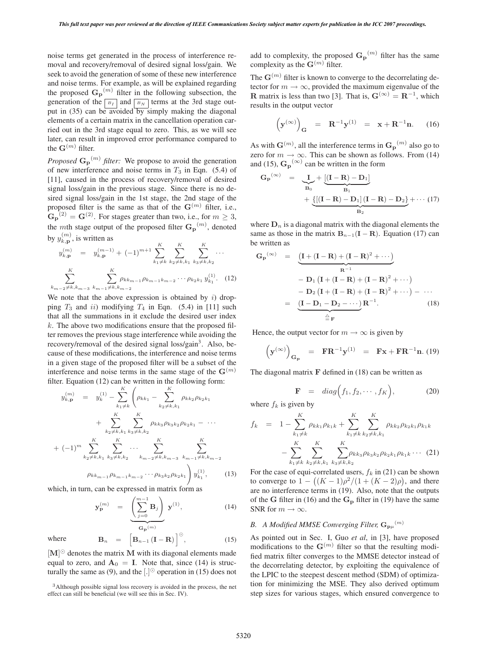noise terms get generated in the process of interference removal and recovery/removal of desired signal loss/gain. We seek to avoid the generation of some of these new interference and noise terms. For example, as will be explained regarding the proposed  $\mathbf{G}_{\mathbf{p}}^{(m)}$  filter in the following subsection, the generation of the  $\boxed{B_I}$  and  $\boxed{B_N}$  terms at the 3rd stage output in  $(35)$  can be avoided by simply making the diagonal elements of a certain matrix in the cancellation operation carried out in the 3rd stage equal to zero. This, as we will see later, can result in improved error performance compared to the  $\mathbf{G}^{(m)}$  filter.

*Proposed*  $\mathbf{G}_{\mathbf{p}}^{(m)}$  *filter:* We propose to avoid the generation of new interference and noise terms in  $T_3$  in Eqn. (5.4) of [11], caused in the process of recovery/removal of desired signal loss/gain in the previous stage. Since there is no desired signal loss/gain in the 1st stage, the 2nd stage of the proposed filter is the same as that of the  $\mathbf{G}^{(m)}$  filter, i.e.,  $\mathbf{G}_{\mathbf{p}}^{(2)} = \mathbf{G}^{(2)}$ . For stages greater than two, i.e., for  $m \geq 3$ , the *m*th stage output of the proposed filter  $\mathbf{G}_{\mathbf{p}}^{(m)}$ , denoted by  $y_{k,\mathbf{p}}^{(m)}$ , is written as

$$
y_{k,\mathbf{p}}^{(m)} = y_{k,\mathbf{p}}^{(m-1)} + (-1)^{m+1} \sum_{k_1 \neq k}^{K} \sum_{k_2 \neq k, k_1}^{K} \sum_{k_3 \neq k, k_2}^{K} \cdots
$$

$$
\sum_{k_{m-2} \neq k, k_{m-3}}^{K} \sum_{k_{m-1} \neq k, k_{m-2}}^{K} \rho_{kk_{m-1}} \rho_{k_{m-1}k_{m-2}} \cdots \rho_{k_2 k_1} y_{k_1}^{(1)}.
$$
 (12)

We note that the above expression is obtained by  $i$ ) dropping  $T_3$  and ii) modifying  $T_4$  in Eqn. (5.4) in [11] such that all the summations in it exclude the desired user index  $k$ . The above two modifications ensure that the proposed filter removes the previous stage interference while avoiding the recovery/removal of the desired signal loss/gain<sup>3</sup>. Also, because of these modifications, the interference and noise terms in a given stage of the proposed filter will be a subset of the interference and noise terms in the same stage of the  $\mathbf{G}^{(m)}$ filter. Equation (12) can be written in the following form:

$$
y_{k,\mathbf{p}}^{(m)} = y_k^{(1)} - \sum_{k_1 \neq k}^{K} \left( \rho_{kk_1} - \sum_{k_2 \neq k, k_1}^{K} \rho_{kk_2} \rho_{k_2 k_1} + \sum_{k_2 \neq k, k_1}^{K} \sum_{k_3 \neq k, k_2}^{K} \rho_{kk_3} \rho_{k_3 k_2} \rho_{k_2 k_1} - \cdots + (-1)^m \sum_{k_2 \neq k, k_1}^{K} \sum_{k_3 \neq k, k_2}^{K} \cdots \sum_{k_{m-2} \neq k, k_{m-3}}^{K} \sum_{k_{m-1} \neq k, k_{m-2}}^{K} \rho_{kk_{m-1}} \rho_{k_{m-1} k_{m-2}} \cdots \rho_{k_3 k_2} \rho_{k_2 k_1} \right) y_{k_1}^{(1)}, \quad (13)
$$

which, in turn, can be expressed in matrix form as

$$
\mathbf{y}_{\mathbf{p}}^{(m)} = \underbrace{\left(\sum_{j=0}^{m-1} \mathbf{B}_j\right)}_{\mathbf{G}_{\mathbf{p}}(m)} \mathbf{y}^{(1)}, \tag{14}
$$

where  $\mathbf{B}_n = \left[ \mathbf{B}_{n-1} \left( \mathbf{I} - \mathbf{R} \right) \right]^\circ$ 

 $[M]$ <sup> $\odot$ </sup> denotes the matrix **M** with its diagonal elements made equal to zero, and  $A_0 = I$ . Note that, since (14) is structurally the same as (9), and the  $[.]^\odot$  operation in (15) does not

<sup>3</sup>Although possible signal loss recovery is avoided in the process, the net effect can still be beneficial (we will see this in Sec. IV).

add to complexity, the proposed  $\mathbf{G}_{\mathbf{p}}^{(m)}$  filter has the same complexity as the  $\mathbf{G}^{(m)}$  filter.

The  $\mathbf{G}^{(m)}$  filter is known to converge to the decorrelating detector for  $m \to \infty$ , provided the maximum eigenvalue of the **R** matrix is less than two [3]. That is,  $G^{(\infty)} = \mathbb{R}^{-1}$ , which results in the output vector

$$
\left(\mathbf{y}^{(\infty)}\right)_{\mathbf{G}} = \mathbf{R}^{-1}\mathbf{y}^{(1)} = \mathbf{x} + \mathbf{R}^{-1}\mathbf{n}.\tag{16}
$$

As with  $\mathbf{G}^{(m)}$ , all the interference terms in  $\mathbf{G_p}^{(m)}$  also go to zero for  $m \to \infty$ . This can be shown as follows. From (14) and (15),  $G_p^{(\infty)}$  can be written in the form

$$
G_{P}^{(\infty)} = \frac{I}{B_{0}} + \underbrace{[(I - R) - D_{1}]}_{B_{1}} + \underbrace{ \{ [(I - R) - D_{1}] (I - R) - D_{2} \}}_{B_{2}} + \cdots (17)
$$

where  $D_n$  is a diagonal matrix with the diagonal elements the same as those in the matrix  $B_{n-1}(I - R)$ . Equation (17) can be written as

$$
G_{\mathbf{p}}^{(\infty)} = \underbrace{\left(\mathbf{I} + (\mathbf{I} - \mathbf{R}) + (\mathbf{I} - \mathbf{R})^2 + \cdots\right)}_{\mathbf{R}^{-1}}
$$

$$
- D_1 \left(\mathbf{I} + (\mathbf{I} - \mathbf{R}) + (\mathbf{I} - \mathbf{R})^2 + \cdots\right)
$$

$$
- D_2 \left(\mathbf{I} + (\mathbf{I} - \mathbf{R}) + (\mathbf{I} - \mathbf{R})^2 + \cdots\right) - \cdots
$$

$$
= \underbrace{\left(\mathbf{I} - \mathbf{D}_1 - \mathbf{D}_2 - \cdots\right)}_{\triangleq \mathbf{F}} \mathbf{R}^{-1}.
$$
(18)

Hence, the output vector for  $m \to \infty$  is given by

$$
\left(\mathbf{y}^{(\infty)}\right)_{\mathbf{G}_{\mathbf{p}}} = \mathbf{F} \mathbf{R}^{-1} \mathbf{y}^{(1)} = \mathbf{F} \mathbf{x} + \mathbf{F} \mathbf{R}^{-1} \mathbf{n}. (19)
$$

The diagonal matrix **F** defined in (18) can be written as

$$
\mathbf{F} = diag(f_1, f_2, \cdots, f_K), \qquad (20)
$$

where  $f_k$  is given by

$$
f_k = 1 - \sum_{k_1 \neq k}^{K} \rho_{kk_1} \rho_{k_1 k} + \sum_{k_1 \neq k}^{K} \sum_{k_2 \neq k, k_1}^{K} \rho_{kk_2} \rho_{k_2 k_1} \rho_{k_1 k} - \sum_{k_1 \neq k}^{K} \sum_{k_2 \neq k, k_1}^{K} \sum_{k_3 \neq k, k_2}^{K} \rho_{k k_3} \rho_{k_3 k_2} \rho_{k_2 k_1} \rho_{k_1 k} \cdots (21)
$$

For the case of equi-correlated users,  $f_k$  in (21) can be shown to converge to  $1 - ((K-1)\rho^2/(1 + (K-2)\rho))$ , and there are no interference terms in (19). Also, note that the outputs of the **G** filter in (16) and the **G<sup>p</sup>** filter in (19) have the same SNR for  $m \to \infty$ .

### *B. A Modified MMSE Converging Filter,*  $\mathbf{G}_{\mathbf{p}\mu}$ <sup>(*m*)</sup>

As pointed out in Sec. I, Guo *et al*, in [3], have proposed modifications to the  $\mathbf{G}^{(m)}$  filter so that the resulting modified matrix filter converges to the MMSE detector instead of the decorrelating detector, by exploiting the equivalence of the LPIC to the steepest descent method (SDM) of optimization for minimizing the MSE. They also derived optimum step sizes for various stages, which ensured convergence to

 $(15)$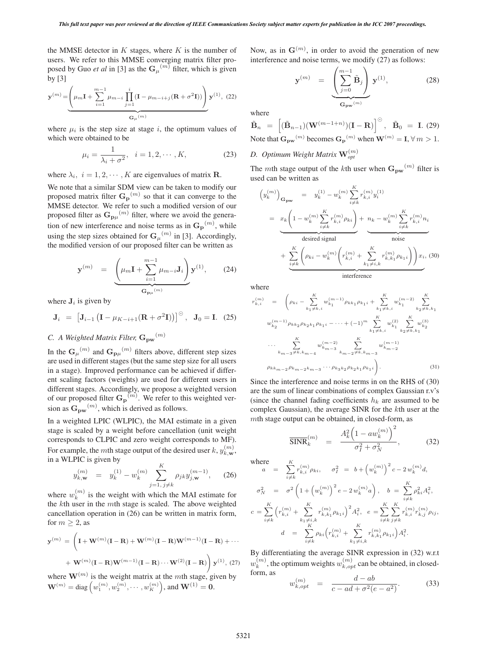the MMSE detector in  $K$  stages, where  $K$  is the number of users. We refer to this MMSE converging matrix filter proposed by Guo *et al* in [3] as the  $\mathbf{G}_{\mu}^{(m)}$  filter, which is given by [3]

$$
\mathbf{y}^{(m)} = \underbrace{\left(\mu_m \mathbf{I} + \sum_{i=1}^{m-1} \mu_{m-i} \prod_{j=1}^i (\mathbf{I} - \mu_{m-i+j} (\mathbf{R} + \sigma^2 \mathbf{I}))\right)}_{\mathbf{G}_{\mu}(m)} \mathbf{y}^{(1)}, \tag{22}
$$

where  $\mu_i$  is the step size at stage i, the optimum values of which were obtained to be

$$
\mu_i = \frac{1}{\lambda_i + \sigma^2}, \quad i = 1, 2, \cdots, K,
$$
 (23)

where  $\lambda_i$ ,  $i = 1, 2, \dots, K$  are eigenvalues of matrix **R**.

We note that a similar SDM view can be taken to modify our proposed matrix filter  $\mathbf{G}_{\mathbf{p}}^{(m)}$  so that it can converge to the MMSE detector. We refer to such a modified version of our proposed filter as  $\mathbf{G}_{\mathbf{p}\mu}^{(m)}$  filter, where we avoid the generation of new interference and noise terms as in  $\mathbf{G}_{\mathbf{p}}^{(m)}$ , while using the step sizes obtained for  $\mathbf{G}_{\mu}^{(m)}$  in [3]. Accordingly, the modified version of our proposed filter can be written as

$$
\mathbf{y}^{(m)} = \underbrace{\left(\mu_m \mathbf{I} + \sum_{i=1}^{m-1} \mu_{m-i} \mathbf{J}_i\right)}_{\mathbf{G}_{\mathbf{p}\mu}^{(m)}} \mathbf{y}^{(1)}, \qquad (24)
$$

where  $J_i$  is given by

$$
\mathbf{J}_{i} = [\mathbf{J}_{i-1} ( \mathbf{I} - \mu_{K-i+1} ( \mathbf{R} + \sigma^{2} \mathbf{I} ) ) ]^{\circlearrowleft}, \ \mathbf{J}_{0} = \mathbf{I}. \ (25)
$$

## *C. A Weighted Matrix Filter,*  $\mathbf{G}_{\mathbf{pw}}^{(m)}$

In the  $\mathbf{G}_{\mu}^{(m)}$  and  $\mathbf{G}_{\mathbf{p}\mu}^{(m)}$  filters above, different step sizes are used in different stages (but the same step size for all users in a stage). Improved performance can be achieved if different scaling factors (weights) are used for different users in different stages. Accordingly, we propose a weighted version of our proposed filter  $\mathbf{G}_{\mathbf{p}}^{(m)}$ . We refer to this weighted version as  $\mathbf{G}_{\mathbf{pw}}^{(m)}$ , which is derived as follows.

In a weighted LPIC (WLPIC), the MAI estimate in a given stage is scaled by a weight before cancellation (unit weight corresponds to CLPIC and zero weight corresponds to MF). For example, the *m*th stage output of the desired user  $k$ ,  $y_{k,\mathbf{w}}^{(m)}$ , in a WLPIC is given by

$$
y_{k,\mathbf{w}}^{(m)} = y_k^{(1)} - w_k^{(m)} \sum_{j=1, j \neq k}^{K} \rho_{jk} y_{j,\mathbf{w}}^{(m-1)}, \qquad (26)
$$

where  $w_k^{(m)}$  is the weight with which the MAI estimate for the kth user in the mth stage is scaled. The above weighted cancellation operation in (26) can be written in matrix form, for  $m \geq 2$ , as

$$
\mathbf{y}^{(m)} = \left(\mathbf{I} + \mathbf{W}^{(m)}(\mathbf{I} - \mathbf{R}) + \mathbf{W}^{(m)}(\mathbf{I} - \mathbf{R})\mathbf{W}^{(m-1)}(\mathbf{I} - \mathbf{R}) + \cdots + \mathbf{W}^{(m)}(\mathbf{I} - \mathbf{R})\mathbf{W}^{(m-1)}(\mathbf{I} - \mathbf{R}) \cdots \mathbf{W}^{(2)}(\mathbf{I} - \mathbf{R})\right) \mathbf{y}^{(1)},
$$
(27)

where  $\mathbf{W}^{(m)}$  is the weight matrix at the *mth* stage, given by  $\mathbf{W}^{(m)} = \text{diag}\left(w_1^{(m)}, w_2^{(m)}, \cdots, w_K^{(m)}\right)$ , and  $\mathbf{W}^{(1)} = \mathbf{0}$ .

Now, as in  $\mathbf{G}^{(m)}$ , in order to avoid the generation of new interference and noise terms, we modify (27) as follows:

$$
\mathbf{y}^{(m)} = \underbrace{\left(\sum_{j=0}^{m-1} \tilde{\mathbf{B}}_j\right)}_{\mathbf{G}_{\mathbf{pw}}^{(m)}} \mathbf{y}^{(1)},\tag{28}
$$

where

$$
\tilde{\mathbf{B}}_n = \left[ (\tilde{\mathbf{B}}_{n-1}) (\mathbf{W}^{(m-1+n)}) (\mathbf{I} - \mathbf{R}) \right]^\odot, \quad \tilde{\mathbf{B}}_0 = \mathbf{I}.
$$
 (29)  
Note that  $\mathbf{G}_{\mathbf{p}\mathbf{w}}^{(m)}$  becomes  $\mathbf{G}_{\mathbf{p}}^{(m)}$  when  $\mathbf{W}^{(m)} = \mathbf{I}, \forall m > 1.$ 

# *D. Optimum Weight Matrix* **W**(m) *opt*

The *mth* stage output of the *kth* user when  $\mathbf{G}_{\mathbf{pw}}^{(m)}$  filter is used can be written as

$$
\left(y_k^{(m)}\right)_{\mathbf{G}_{\text{pw}}} = y_k^{(1)} - w_k^{(m)} \sum_{i \neq k}^K r_{k,i}^{(m)} y_i^{(1)}
$$
\n
$$
= x_k \left(1 - w_k^{(m)} \sum_{i \neq k}^K r_{k,i}^{(m)} \rho_{ki}\right) + n_k - w_k^{(m)} \sum_{i \neq k}^K r_{k,i}^{(m)} n_i
$$
\ndesired signal noise\n
$$
+ \sum_{i \neq k}^K \left(\rho_{ki} - w_k^{(m)} \left(r_{k,i}^{(m)} + \sum_{k_1 \neq i,k}^K r_{k,k_1}^{(m)} \rho_{k_1 i}\right)\right) x_i, \text{(30)}
$$
\ninterference

where

$$
r_{k,i}^{(m)} = \left(\rho_{ki} - \sum_{k_1 \neq k,i}^{K} w_{k_1}^{(m-1)} \rho_{kk_1} \rho_{k_1 i} + \sum_{k_1 \neq k,i}^{K} w_{k_1}^{(m-2)} \sum_{k_2 \neq k,k_1}^{K} u_{k_2}^{(m-1)} \right)_{k_2}^{(m-1)} \rho_{kk_2} \rho_{k_2 k_1} \rho_{k_1 i} - \dots + (-1)^m \sum_{k_1 \neq k,i}^{K} w_{k_1}^{(2)} \sum_{k_2 \neq k,k_1}^{K} w_{k_2}^{(3)} \dots \sum_{k_{m-3} \neq k,k_{m-4}}^{K} w_{k_{m-3}}^{(m-2)} \sum_{k_{m-2} \neq k,k_{m-3}}^{K} w_{k_{m-2}}^{(m-1)} \rho_{k k_{m-2}} \rho_{k_{m-2} k_{m-3}} \dots \rho_{k_3 k_2} \rho_{k_2 k_1} \rho_{k_1 i} \right). \tag{31}
$$

Since the interference and noise terms in on the RHS of (30) are the sum of linear combinations of complex Gaussian r.v's (since the channel fading coefficients  $h_k$  are assumed to be complex Gaussian), the average SINR for the kth user at the mth stage output can be obtained, in closed-form, as

$$
\overline{\text{SINR}}_k^{(m)} = \frac{A_k^2 \left(1 - aw_k^{(m)}\right)^2}{\sigma_I^2 + \sigma_N^2}, \tag{32}
$$

where

$$
a = \sum_{i \neq k}^{N} r_{k,i}^{(m)} \rho_{ki}, \quad \sigma_I^2 = b + \left(w_k^{(m)}\right)^2 c - 2 w_k^{(m)} d,
$$
  

$$
\sigma_N^2 = \sigma^2 \left(1 + \left(w_k^{(m)}\right)^2 e - 2 w_k^{(m)} a\right), \quad b = \sum_{\substack{i \neq k \\ i \neq k}}^{K} \rho_{ki}^2 A_i^2,
$$

$$
c = \sum_{i \neq k}^{K} \left(r_{k,i}^{(m)} + \sum_{\substack{k_1 \neq i,k \\ K}}^{K} r_{k,k_1}^{(m)} \rho_{k_1 i}\right)^2 A_i^2, \quad e = \sum_{i \neq k}^{K} \sum_{\substack{j \neq i,k \\ k_j \neq k}}^{K} r_{k,i}^{(m)} r_{k,j}^{(m)} \rho_{ij},
$$

$$
d = \sum_{i \neq k}^{K} \rho_{ki} \left(r_{k,i}^{(m)} + \sum_{k_1 \neq i,k}^{K} r_{k,k_1}^{(m)} \rho_{k_1 i}\right) A_i^2.
$$

By differentiating the average SINR expression in (32) w.r.t  $w_k^{(m)}$ , the optimum weights  $w_{k,opt}^{(m)}$  can be obtained, in closedform, as

$$
w_{k,opt}^{(m)} = \frac{d - ab}{c - ad + \sigma^2(e - a^2)}.
$$
 (33)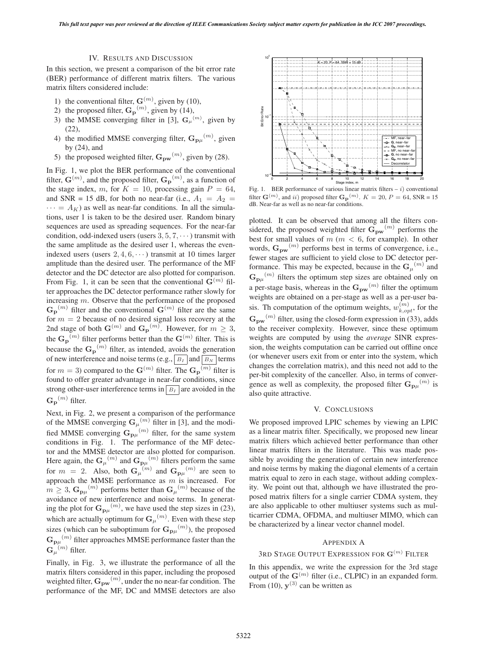### IV. RESULTS AND DISCUSSION

In this section, we present a comparison of the bit error rate (BER) performance of different matrix filters. The various matrix filters considered include:

- 1) the conventional filter,  $\mathbf{G}^{(m)}$ , given by (10),
- 2) the proposed filter,  $\mathbf{G}_{\mathbf{p}}^{(m)}$ , given by (14),
- 3) the MMSE converging filter in [3],  $G_{\mu}^{(m)}$ , given by (22),
- 4) the modified MMSE converging filter,  $\mathbf{G}_{\mathbf{p}\mu}^{(m)}$ , given by (24), and
- 5) the proposed weighted filter,  $\mathbf{G}_{\mathbf{pw}}^{(m)}$ , given by (28).

In Fig. 1, we plot the BER performance of the conventional filter,  $\mathbf{G}^{(m)}$ , and the proposed filter,  $\mathbf{G_p}^{(m)}$ , as a function of the stage index, m, for  $K = 10$ , processing gain  $P = 64$ , and SNR = 15 dB, for both no near-far (i.e.,  $A_1 = A_2$ )  $\cdots = A_K$ ) as well as near-far conditions. In all the simulations, user 1 is taken to be the desired user. Random binary sequences are used as spreading sequences. For the near-far condition, odd-indexed users (users  $3, 5, 7, \dots$ ) transmit with the same amplitude as the desired user 1, whereas the evenindexed users (users  $2, 4, 6, \dots$ ) transmit at 10 times larger amplitude than the desired user. The performance of the MF detector and the DC detector are also plotted for comparison. From Fig. 1, it can be seen that the conventional  $\mathbf{G}^{(m)}$  filter approaches the DC detector performance rather slowly for increasing m. Observe that the performance of the proposed  $\mathbf{G}_{\mathbf{p}}^{(m)}$  filter and the conventional  $\mathbf{G}^{(m)}$  filter are the same for  $m = 2$  because of no desired signal loss recovery at the 2nd stage of both  $\mathbf{G}^{(m)}$  and  $\mathbf{G}_{\mathbf{p}}^{(m)}$ . However, for  $m \geq 3$ , the  $\mathbf{G}_{\mathbf{p}}^{(m)}$  filter performs better than the  $\mathbf{G}^{(m)}$  filter. This is because the  $\mathbf{G}_{\mathbf{p}}^{(m)}$  filter, as intended, avoids the generation of new interference and noise terms (e.g.,  $\boxed{B_I}$  and  $\boxed{B_N}$  terms for  $m = 3$ ) compared to the  $\mathbf{G}^{(m)}$  filter. The  $\mathbf{G}_{\mathbf{p}}^{(m)}$  filter is found to offer greater advantage in near-far conditions, since strong other-user interference terms in  $\boxed{B_I}$  are avoided in the  $\mathbf{G}_{\mathbf{p}}^{\left(m\right)}$  filter.

Next, in Fig. 2, we present a comparison of the performance of the MMSE converging  $\mathbf{G}_{\mu}^{(m)}$  filter in [3], and the modified MMSE converging  $\mathbf{G}_{\mathbf{p}\mu}^{(m)}$  filter, for the same system conditions in Fig. 1. The performance of the MF detector and the MMSE detector are also plotted for comparison. Here again, the  $\mathbf{G}_{\mu}^{(m)}$  and  $\mathbf{G}_{\mathbf{p}\mu}^{(m)}$  filters perform the same for  $m = 2$ . Also, both  $\mathbf{G}_{\mu}^{(m)}$  and  $\mathbf{G}_{\mathbf{p}\mu}^{(m)}$  are seen to approach the MMSE performance as m is increased. For  $m \geq 3$ ,  $\mathbf{G}_{\mathbf{p}\mu}^{(m)}$  performs better than  $\mathbf{G}_{\mu}^{(m)}$  because of the avoidance of new interference and noise terms. In generating the plot for  $\mathbf{G}_{\mathbf{p}\mu}$ <sup>(m)</sup>, we have used the step sizes in (23), which are actually optimum for  $\mathbf{G}_{\mu}^{(m)}$ . Even with these step sizes (which can be suboptimum for  $\mathbf{G}_{\mathbf{p}\mu}^{(m)}$ ), the proposed  $\mathbf{G}_{\mathbf{p}\mu}^{\,(m)}$  filter approaches MMSE performance faster than the  $\mathbf{G}_{\mu}^{\ (m)}$  filter.

Finally, in Fig. 3, we illustrate the performance of all the matrix filters considered in this paper, including the proposed weighted filter,  $\mathbf{G}_{\mathbf{pw}}^{(m)}$ , under the no near-far condition. The performance of the MF, DC and MMSE detectors are also



Fig. 1. BER performance of various linear matrix filters  $-i$ ) conventional filter  $\mathbf{G}^{(m)}$ , and ii) proposed filter  $\mathbf{G}_{\mathbf{p}}^{(m)}$ .  $K = 20$ ,  $P = 64$ , SNR = 15 dB. Near-far as well as no near-far conditions.

plotted. It can be observed that among all the filters considered, the proposed weighted filter  $\mathbf{G}_{\mathbf{pw}}^{(m)}$  performs the best for small values of  $m$  ( $m$  < 6, for example). In other words,  $\mathbf{G}_{\mathbf{pw}}^{(m)}$  performs best in terms of convergence, i.e., fewer stages are sufficient to yield close to DC detector performance. This may be expected, because in the  $\mathbf{G}_{\mu}^{(m)}$  and  $\mathbf{G}_{\mathbf{p}\mu}^{(m)}$  filters the optimum step sizes are obtained only on a per-stage basis, whereas in the  $\mathbf{G}_{\mathbf{pw}}^{(m)}$  filter the optimum weights are obtained on a per-stage as well as a per-user basis. Th computation of the optimum weights,  $w_{k,opt}^{(m)}$ , for the  $G_{\text{pw}}^{(m)}$  filter, using the closed-form expression in (33), adds to the receiver complexity. However, since these optimum weights are computed by using the *average* SINR expression, the weights computation can be carried out offline once (or whenever users exit from or enter into the system, which changes the correlation matrix), and this need not add to the per-bit complexity of the canceller. Also, in terms of convergence as well as complexity, the proposed filter  $\mathbf{G}_{\mathbf{p}\mu}^{(m)}$  is also quite attractive.

### V. CONCLUSIONS

We proposed improved LPIC schemes by viewing an LPIC as a linear matrix filter. Specifically, we proposed new linear matrix filters which achieved better performance than other linear matrix filters in the literature. This was made possible by avoiding the generation of certain new interference and noise terms by making the diagonal elements of a certain matrix equal to zero in each stage, without adding complexity. We point out that, although we have illustrated the proposed matrix filters for a single carrier CDMA system, they are also applicable to other multiuser systems such as multicarrier CDMA, OFDMA, and multiuser MIMO, which can be characterized by a linear vector channel model.

#### APPENDIX A

### 3RD STAGE OUTPUT EXPRESSION FOR **G**(*m*) FILTER

In this appendix, we write the expression for the 3rd stage output of the  $\mathbf{G}^{(m)}$  filter (i.e., CLPIC) in an expanded form. From (10),  $y^{(3)}$  can be written as